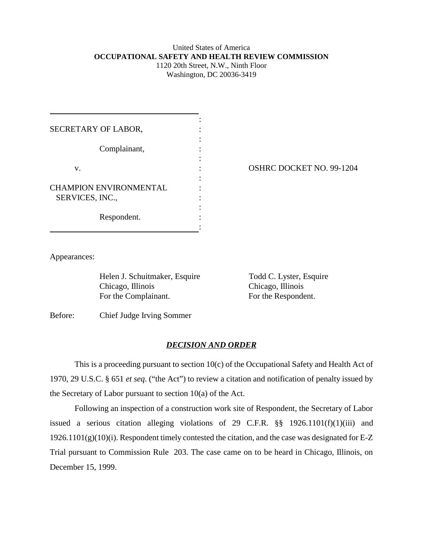## United States of America **OCCUPATIONAL SAFETY AND HEALTH REVIEW COMMISSION** 1120 20th Street, N.W., Ninth Floor

Washington, DC 20036-3419

| SECRETARY OF LABOR,           |  |
|-------------------------------|--|
| Complainant,                  |  |
| v.                            |  |
| <b>CHAMPION ENVIRONMENTAL</b> |  |
| SERVICES, INC.,               |  |
| Respondent.                   |  |
|                               |  |

OSHRC DOCKET NO. 99-1204

Appearances:

Helen J. Schuitmaker, Esquire Todd C. Lyster, Esquire Chicago, Illinois Chicago, Illinois For the Complainant. For the Respondent.

Before: Chief Judge Irving Sommer

## *DECISION AND ORDER*

This is a proceeding pursuant to section 10(c) of the Occupational Safety and Health Act of 1970, 29 U.S.C. § 651 *et seq*. ("the Act") to review a citation and notification of penalty issued by the Secretary of Labor pursuant to section 10(a) of the Act.

Following an inspection of a construction work site of Respondent, the Secretary of Labor issued a serious citation alleging violations of 29 C.F.R. §§ 1926.1101(f)(1)(iii) and  $1926.1101(g)(10)(i)$ . Respondent timely contested the citation, and the case was designated for E-Z Trial pursuant to Commission Rule 203. The case came on to be heard in Chicago, Illinois, on December 15, 1999.